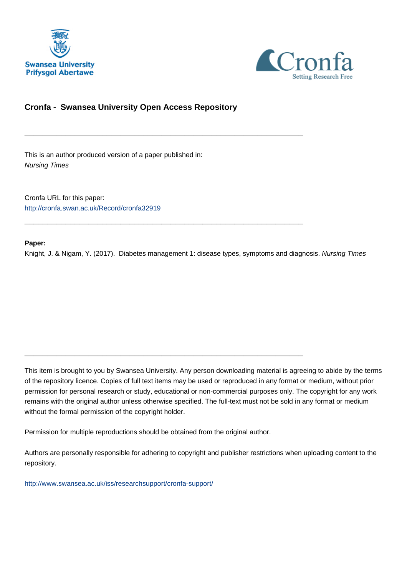



## **Cronfa - Swansea University Open Access Repository**

\_\_\_\_\_\_\_\_\_\_\_\_\_\_\_\_\_\_\_\_\_\_\_\_\_\_\_\_\_\_\_\_\_\_\_\_\_\_\_\_\_\_\_\_\_\_\_\_\_\_\_\_\_\_\_\_\_\_\_\_\_

\_\_\_\_\_\_\_\_\_\_\_\_\_\_\_\_\_\_\_\_\_\_\_\_\_\_\_\_\_\_\_\_\_\_\_\_\_\_\_\_\_\_\_\_\_\_\_\_\_\_\_\_\_\_\_\_\_\_\_\_\_

 $\_$  , and the set of the set of the set of the set of the set of the set of the set of the set of the set of the set of the set of the set of the set of the set of the set of the set of the set of the set of the set of th

This is an author produced version of a paper published in: Nursing Times

Cronfa URL for this paper: <http://cronfa.swan.ac.uk/Record/cronfa32919>

#### **Paper:**

Knight, J. & Nigam, Y. (2017). Diabetes management 1: disease types, symptoms and diagnosis. Nursing Times

This item is brought to you by Swansea University. Any person downloading material is agreeing to abide by the terms of the repository licence. Copies of full text items may be used or reproduced in any format or medium, without prior permission for personal research or study, educational or non-commercial purposes only. The copyright for any work remains with the original author unless otherwise specified. The full-text must not be sold in any format or medium without the formal permission of the copyright holder.

Permission for multiple reproductions should be obtained from the original author.

Authors are personally responsible for adhering to copyright and publisher restrictions when uploading content to the repository.

[http://www.swansea.ac.uk/iss/researchsupport/cronfa-support/](http://www.swansea.ac.uk/iss/researchsupport/cronfa-support/ )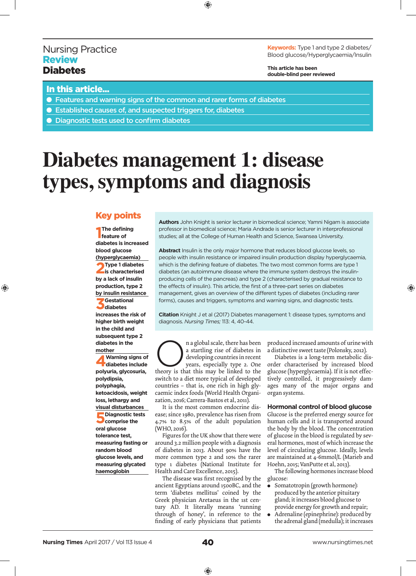## Nursing Practice **Review Diabetes**

◈

**Keywords:** Type 1 and type 2 diabetes/ Blood glucose/Hyperglycaemia/Insulin

**This article has been double-blind peer reviewed**

## In this article...

- Features and warning signs of the common and rarer forms of diabetes
- Established causes of, and suspected triggers for, diabetes
- Diagnostic tests used to confirm diabetes

# **Diabetes management 1: disease types, symptoms and diagnosis**

 $\bigoplus$ 

## Key points

**1 The defining feature of diabetes is increased blood glucose (hyperglycaemia) 2Type 1 diabetes is characterised by a lack of insulin production, type 2 by insulin resistance 3Gestational diabetes increases the risk of higher birth weight in the child and subsequent type 2 diabetes in the mother**

**4Warning signs of diabetes include polyuria, glycosuria, polydipsia, polyphagia, ketoacidosis, weight loss, lethargy and visual disturbances 5Diagnostic tests comprise the oral glucose tolerance test, measuring fasting or random blood glucose levels, and measuring glycated haemoglobin**

**Authors** John Knight is senior lecturer in biomedical science; Yamni Nigam is associate professor in biomedical science; Maria Andrade is senior lecturer in interprofessional studies; all at the College of Human Health and Science, Swansea University.

**Abstract** Insulin is the only major hormone that reduces blood glucose levels, so people with insulin resistance or impaired insulin production display hyperglycaemia, which is the defining feature of diabetes. The two most common forms are type 1 diabetes (an autoimmune disease where the immune system destroys the insulinproducing cells of the pancreas) and type 2 (characterised by gradual resistance to the effects of insulin). This article, the first of a three-part series on diabetes management, gives an overview of the different types of diabetes (including rarer forms), causes and triggers, symptoms and warning signs, and diagnostic tests.

**Citation** Knight J et al (2017) Diabetes management 1: disease types, symptoms and diagnosis. *Nursing Times;* 113: 4, 40-44.

**Compared Strate** a startling rise of diabetes in developing countries in recent years, especially type 2. One theory is that this may be linked to the a startling rise of diabetes in developing countries in recent

years, especially type 2. One theory is that this may be linked to the switch to a diet more typical of developed countries – that is, one rich in high glycaemic index foods (World Health Organization, 2016; Carrera-Bastos et al, 2011).

It is the most common endocrine disease; since 1980, prevalence has risen from 4.7% to 8.5% of the adult population (WHO, 2016).

Figures for the UK show that there were around 3.2 million people with a diagnosis of diabetes in 2013. About 90% have the more common type 2 and 10% the rarer type 1 diabetes (National Institute for Health and Care Excellence, 2015).

The disease was first recognised by the ancient Egyptians around 1500BC, and the term 'diabetes mellitus' coined by the Greek physician Aretaeus in the 1st century AD. It literally means 'running through of honey', in reference to the finding of early physicians that patients

produced increased amounts of urine with a distinctive sweet taste (Polonsky, 2012).

◈

Diabetes is a long-term metabolic disorder characterised by increased blood glucose (hyperglycaemia). If it is not effectively controlled, it progressively damages many of the major organs and organ systems.

**Hormonal control of blood glucose** Glucose is the preferred energy source for

human cells and it is transported around the body by the blood. The concentration of glucose in the blood is regulated by several hormones, most of which increase the level of circulating glucose. Ideally, levels are maintained at 4-6mmol/L (Marieb and Hoehn, 2015; VanPutte et al, 2013).

The following hormones increase blood glucose:

- Somatotropin (growth hormone): produced by the anterior pituitary gland; it increases blood glucose to provide energy for growth and repair;
- Adrenaline (epinephrine): produced by the adrenal gland (medulla); it increases

 $\bigcirc$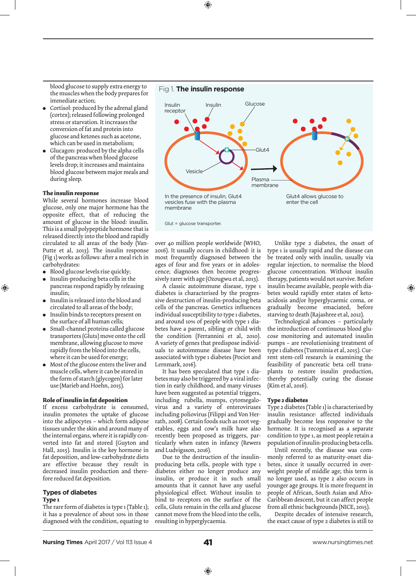blood glucose to supply extra energy to the muscles when the body prepares for immediate action;

- Cortisol: produced by the adrenal gland (cortex); released following prolonged stress or starvation. It increases the conversion of fat and protein into glucose and ketones such as acetone, which can be used in metabolism;
- Glucagon: produced by the alpha cells of the pancreas when blood glucose levels drop; it increases and maintains blood glucose between major meals and during sleep.

#### **The insulin response**

While several hormones increase blood glucose, only one major hormone has the opposite effect, that of reducing the amount of glucose in the blood: insulin. This is a small polypeptide hormone that is released directly into the blood and rapidly circulated to all areas of the body (Van-Putte et al, 2013). The insulin response (Fig 1) works as follows: after a meal rich in carbohydrates:

<sup>l</sup> Blood glucose levels rise quickly;

⊕

- <sup>l</sup> Insulin-producing beta cells in the pancreas respond rapidly by releasing insulin;
- Insulin is released into the blood and circulated to all areas of the body;
- <sup>l</sup> Insulin binds to receptors present on the surface of all human cells;
- Small-channel proteins called glucose transporters (Gluts) move onto the cell membrane, allowing glucose to move rapidly from the blood into the cells, where it can be used for energy;
- Most of the glucose enters the liver and muscle cells, where it can be stored in the form of starch (glycogen) for later use (Marieb and Hoehn, 2015).

#### **Role of insulin in fat deposition**

If excess carbohydrate is consumed, insulin promotes the uptake of glucose into the adipocytes – which form adipose tissues under the skin and around many of the internal organs, where it is rapidly converted into fat and stored (Guyton and Hall, 2015). Insulin is the key hormone in fat deposition, and low-carbohydrate diets are effective because they result in decreased insulin production and therefore reduced fat deposition.

#### **Types of diabetes Type 1**

The rare form of diabetes is type 1 (Table 1); it has a prevalence of about 10% in those diagnosed with the condition, equating to



◈



Glut = glucose transporter.

over 40 million people worldwide (WHO, 2016). It usually occurs in childhood: it is most frequently diagnosed between the ages of four and five years or in adolescence; diagnoses then become progressively rarer with age (Ozougwu et al, 2013).

A classic autoimmune disease, type 1 diabetes is characterised by the progressive destruction of insulin-producing beta cells of the pancreas. Genetics influences individual susceptibility to type 1 diabetes, and around 10% of people with type 1 diabetes have a parent, sibling or child with the condition (Ferrannini et al, 2010). A variety of genes that predispose individuals to autoimmune disease have been associated with type 1 diabetes (Pociot and Lernmark, 2016).

It has been speculated that type 1 diabetes may also be triggered by a viral infection in early childhood, and many viruses have been suggested as potential triggers, including rubella, mumps, cytomegalovirus and a variety of enteroviruses including poliovirus (Filippi and Von Herrath, 2008). Certain foods such as root vegetables, eggs and cow's milk have also recently been proposed as triggers, particularly when eaten in infancy (Rewers and Ludvigsson, 2016).

Due to the destruction of the insulinproducing beta cells, people with type 1 diabetes either no longer produce any insulin, or produce it in such small amounts that it cannot have any useful physiological effect. Without insulin to bind to receptors on the surface of the cells, Gluts remain in the cells and glucose cannot move from the blood into the cells, resulting in hyperglycaemia.

Unlike type 2 diabetes, the onset of type 1 is usually rapid and the disease can be treated only with insulin, usually via regular injection, to normalise the blood glucose concentration. Without insulin therapy, patients would not survive. Before insulin became available, people with diabetes would rapidly enter states of ketoacidosis and/or hyperglycaemic coma, or gradually become emaciated, before starving to death (Rajashree et al, 2012).

◈

Technological advances – particularly the introduction of continuous blood glucose monitoring and automated insulin pumps – are revolutionising treatment of type 1 diabetes (Tumminia et al, 2015). Current stem-cell research is examining the feasibility of pancreatic beta cell transplants to restore insulin production, thereby potentially curing the disease (Kim et al, 2016).

#### **Type 2 diabetes**

Type 2 diabetes (Table 1) is characterised by insulin resistance: affected individuals gradually become less responsive to the hormone. It is recognised as a separate condition to type 1, as most people retain a population of insulin-producing beta cells.

Until recently, the disease was commonly referred to as maturity-onset diabetes, since it usually occurred in overweight people of middle age; this term is no longer used, as type 2 also occurs in younger age groups. It is more frequent in people of African, South Asian and Afro-Caribbean descent, but it can affect people from all ethnic backgrounds (NICE, 2015).

Despite decades of intensive research, the exact cause of type 2 diabetes is still to

⊕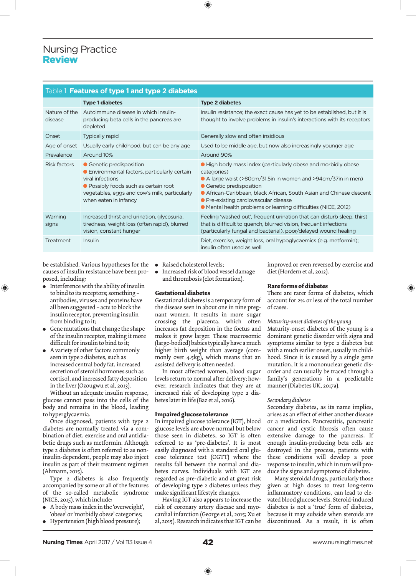# Nursing Practice Review

| Table 1. Features of type 1 and type 2 diabetes |                                                                                                                                                                                                                  |                                                                                                                                                                                                                                                                                                                                                             |
|-------------------------------------------------|------------------------------------------------------------------------------------------------------------------------------------------------------------------------------------------------------------------|-------------------------------------------------------------------------------------------------------------------------------------------------------------------------------------------------------------------------------------------------------------------------------------------------------------------------------------------------------------|
|                                                 | <b>Type 1 diabetes</b>                                                                                                                                                                                           | <b>Type 2 diabetes</b>                                                                                                                                                                                                                                                                                                                                      |
| Nature of the<br>disease                        | Autoimmune disease in which insulin-<br>producing beta cells in the pancreas are<br>depleted                                                                                                                     | Insulin resistance; the exact cause has yet to be established, but it is<br>thought to involve problems in insulin's interactions with its receptors                                                                                                                                                                                                        |
| Onset                                           | <b>Typically rapid</b>                                                                                                                                                                                           | Generally slow and often insidious                                                                                                                                                                                                                                                                                                                          |
| Age of onset                                    | Usually early childhood, but can be any age                                                                                                                                                                      | Used to be middle age, but now also increasingly younger age                                                                                                                                                                                                                                                                                                |
| Prevalence                                      | Around 10%                                                                                                                                                                                                       | Around 90%                                                                                                                                                                                                                                                                                                                                                  |
| Risk factors                                    | • Genetic predisposition<br>• Environmental factors, particularly certain<br>viral infections<br>• Possibly foods such as certain root<br>vegetables, eggs and cow's milk, particularly<br>when eaten in infancy | • High body mass index (particularly obese and morbidly obese<br>categories)<br>• A large waist (>80cm/31.5in in women and >94cm/37in in men)<br>• Genetic predisposition<br>• African-Caribbean, black African, South Asian and Chinese descent<br>• Pre-existing cardiovascular disease<br>• Mental health problems or learning difficulties (NICE, 2012) |
| Warning<br>signs                                | Increased thirst and urination, glycosuria,<br>tiredness, weight loss (often rapid), blurred<br>vision, constant hunger                                                                                          | Feeling 'washed out', frequent urination that can disturb sleep, thirst<br>that is difficult to quench, blurred vision, frequent infections<br>(particularly fungal and bacterial), poor/delayed wound healing                                                                                                                                              |
| Treatment                                       | Insulin                                                                                                                                                                                                          | Diet, exercise, weight loss, oral hypoglycaemics (e.g. metformin);<br>insulin often used as well                                                                                                                                                                                                                                                            |

⊕

be established. Various hypotheses for the causes of insulin resistance have been proposed, including:

<sup>l</sup> Interference with the ability of insulin to bind to its receptors; something – antibodies, viruses and proteins have all been suggested – acts to block the insulin receptor, preventing insulin from binding to it;

⊕

- **•** Gene mutations that change the shape of the insulin receptor, making it more difficult for insulin to bind to it;
- A variety of other factors commonly seen in type 2 diabetes, such as increased central body fat, increased secretion of steroid hormones such as cortisol, and increased fatty deposition in the liver (Ozougwu et al, 2013).

Without an adequate insulin response, glucose cannot pass into the cells of the body and remains in the blood, leading to hyperglycaemia.

Once diagnosed, patients with type 2 diabetes are normally treated via a combination of diet, exercise and oral antidiabetic drugs such as metformin. Although type 2 diabetes is often referred to as noninsulin-dependent, people may also inject insulin as part of their treatment regimen (Ahmann, 2015).

Type 2 diabetes is also frequently accompanied by some or all of the features of the so-called metabolic syndrome (NICE, 2015), which include:

- <sup>l</sup> A body mass index in the 'overweight', 'obese' or 'morbidly obese' categories;
- <sup>l</sup> Hypertension (high blood pressure);
- Raised cholesterol levels;
- $\bullet$  Increased risk of blood vessel damage and thrombosis (clot formation).

#### **Gestational diabetes**

Gestational diabetes is a temporary form of the disease seen in about one in nine pregnant women. It results in more sugar crossing the placenta, which often increases fat deposition in the foetus and makes it grow larger. These macrosomic (large-bodied) babies typically have a much higher birth weight than average (commonly over 4.5kg), which means that an assisted delivery is often needed.

In most affected women, blood sugar levels return to normal after delivery; however, research indicates that they are at increased risk of developing type 2 diabetes later in life (Baz et al, 2016).

#### **Impaired glucose tolerance**

In impaired glucose tolerance (IGT), blood glucose levels are above normal but below those seen in diabetes, so IGT is often referred to as 'pre-diabetes'. It is most easily diagnosed with a standard oral glucose tolerance test (OGTT) where the results fall between the normal and diabetes curves. Individuals with IGT are regarded as pre-diabetic and at great risk of developing type 2 diabetes unless they make significant lifestyle changes.

Having IGT also appears to increase the risk of coronary artery disease and myocardial infarction (George et al, 2015; Xu et al, 2015). Research indicates that IGT can be improved or even reversed by exercise and diet (Hordern et al, 2012).

#### **Rare forms of diabetes**

There are rarer forms of diabetes, which account for 2% or less of the total number of cases.

◈

#### *Maturity-onset diabetes of the young*

Maturity-onset diabetes of the young is a dominant genetic disorder with signs and symptoms similar to type 2 diabetes but with a much earlier onset, usually in childhood. Since it is caused by a single gene mutation, it is a mononuclear genetic disorder and can usually be traced through a family's generations in a predictable manner (Diabetes UK, 2017a).

#### *Secondary diabetes*

Secondary diabetes, as its name implies, arises as an effect of either another disease or a medication. Pancreatitis, pancreatic cancer and cystic fibrosis often cause extensive damage to the pancreas. If enough insulin-producing beta cells are destroyed in the process, patients with these conditions will develop a poor response to insulin, which in turn will produce the signs and symptoms of diabetes.

Many steroidal drugs, particularly those given at high doses to treat long-term inflammatory conditions, can lead to elevated blood glucose levels. Steroid-induced diabetes is not a 'true' form of diabetes, because it may subside when steroids are discontinued. As a result, it is often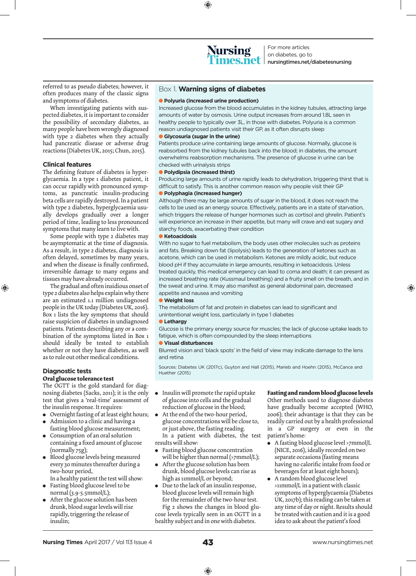◈



For more articles on diabetes, go to nursingtimes.net/diabetesnursing

referred to as pseudo diabetes; however, it often produces many of the classic signs and symptoms of diabetes.

When investigating patients with suspected diabetes, it is important to consider the possibility of secondary diabetes, as many people have been wrongly diagnosed with type 2 diabetes when they actually had pancreatic disease or adverse drug reactions (Diabetes UK, 2015; Chun, 2015).

#### **Clinical features**

The defining feature of diabetes is hyperglycaemia. In a type 1 diabetes patient, it can occur rapidly with pronounced symptoms, as pancreatic insulin-producing beta cells are rapidly destroyed. In a patient with type 2 diabetes, hyperglycaemia usually develops gradually over a longer period of time, leading to less pronounced symptoms that many learn to live with.

Some people with type 2 diabetes may be asymptomatic at the time of diagnosis. As a result, in type 2 diabetes, diagnosis is often delayed, sometimes by many years, and when the disease is finally confirmed, irreversible damage to many organs and tissues may have already occurred.

The gradual and often insidious onset of type 2 diabetes also helps explain why there are an estimated 1.1 million undiagnosed people in the UK today (Diabetes UK, 2016). Box 1 lists the key symptoms that should raise suspicion of diabetes in undiagnosed patients. Patients describing any or a combination of the symptoms listed in Box 1 should ideally be tested to establish whether or not they have diabetes, as well as to rule out other medical conditions.

#### **Diagnostic tests Oral glucose tolerance test**

⊕

The OGTT is the gold standard for diagnosing diabetes (Sacks, 2011); it is the only test that gives a 'real-time' assessment of the insulin response. It requires:

- Overnight fasting of at least eight hours;
- Admission to a clinic and having a fasting blood glucose measurement;
- Consumption of an oral solution containing a fixed amount of glucose (normally 75g);
- <sup>l</sup> Blood glucose levels being measured every 30 minutes thereafter during a two-hour period, In a healthy patient the test will show:
- Fasting blood glucose level to be normal (3.9-5.5mmol/L);
- After the glucose solution has been drunk, blood sugar levels will rise rapidly, triggering the release of insulin;

#### Box 1. **Warning signs of diabetes**

#### l **Polyuria (increased urine production)**

Increased glucose from the blood accumulates in the kidney tubules, attracting large amounts of water by osmosis. Urine output increases from around 1.8L seen in healthy people to typically over 3L, in those with diabetes. Polyuria is a common reason undiagnosed patients visit their GP, as it often disrupts sleep

#### **• Glycosuria (sugar in the urine)**

Patients produce urine containing large amounts of glucose. Normally, glucose is reabsorbed from the kidney tubules back into the blood; in diabetes, the amount overwhelms reabsorption mechanisms. The presence of glucose in urine can be checked with urinalysis strips

#### l **Polydipsia (increased thirst)**

Producing large amounts of urine rapidly leads to dehydration, triggering thirst that is difficult to satisfy. This is another common reason why people visit their GP

### l **Polyphagia (increased hunger)**

Although there may be large amounts of sugar in the blood, it does not reach the cells to be used as an energy source. Effectively, patients are in a state of starvation, which triggers the release of hunger hormones such as cortisol and ghrelin. Patient's will experience an increase in their appetite, but many will crave and eat sugary and starchy foods, exacerbating their condition

#### **C** Ketoacidosis

With no sugar to fuel metabolism, the body uses other molecules such as proteins and fats. Breaking down fat (lipolysis) leads to the generation of ketones such as acetone, which can be used in metabolism. Ketones are mildly acidic, but reduce blood pH if they accumulate in large amounts, resulting in ketoacidosis. Unless treated quickly, this medical emergency can lead to coma and death; it can present as increased breathing rate (Kussmaul breathing) and a fruity smell on the breath, and in the sweat and urine. It may also manifest as general abdominal pain, decreased appetite and nausea and vomiting

#### **l** Weight loss

The metabolism of fat and protein in diabetes can lead to significant and unintentional weight loss, particularly in type 1 diabetes

#### **l** Lethargy

Glucose is the primary energy source for muscles; the lack of glucose uptake leads to fatigue, which is often compounded by the sleep interruptions

#### l **Visual disturbances**

Blurred vision and 'black spots' in the field of view may indicate damage to the lens and retina

Sources: Diabetes UK (2017c), Guyton and Hall (2015), Marieb and Hoehn (2015), McCance and Huether (2015)

- **•** Insulin will promote the rapid uptake of glucose into cells and the gradual reduction of glucose in the blood;
- At the end of the two-hour period, glucose concentrations will be close to, or just above, the fasting reading. In a patient with diabetes, the test results will show:
- Fasting blood glucose concentration will be higher than normal (>7mmol/L);
- After the glucose solution has been drunk, blood glucose levels can rise as high as 11mmol/L or beyond;
- Due to the lack of an insulin response, blood glucose levels will remain high for the remainder of the two-hour test.

Fig 2 shows the changes in blood glucose levels typically seen in an OGTT in a healthy subject and in one with diabetes.

#### **Fasting and random blood glucose levels**

◈

Other methods used to diagnose diabetes have gradually become accepted (WHO, 2006); their advantage is that they can be readily carried out by a health professional in a GP surgery or even in the patient's home:

- A fasting blood glucose level >7mmol/L (NICE, 2016), ideally recorded on two separate occasions (fasting means having no calorific intake from food or beverages for at least eight hours);
- A random blood glucose level >11mmol/L in a patient with classic symptoms of hyperglycaemia (Diabetes UK, 2017b); this reading can be taken at any time of day or night. Results should be treated with caution and it is a good idea to ask about the patient's food

⊕